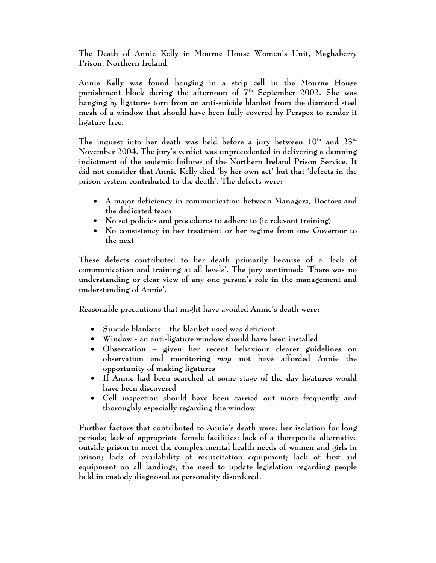**The Death of Annie Kelly in Mourne House Women's Unit, Maghaberry Prison, Northern Ireland** 

**Annie Kelly was found hanging in a strip cell in the Mourne House**  punishment block during the afternoon of 7<sup>th</sup> September 2002. She was **hanging by ligatures torn from an anti-suicide blanket from the diamond steel mesh of a window that should have been fully covered by Perspex to render it ligature-free.** 

The inquest into her death was held before a jury between  $10^{\text{th}}$  and  $23^{\text{rd}}$ **November 2004. The jury's verdict was unprecedented in delivering a damning indictment of the endemic failures of the Northern Ireland Prison Service. It did not consider that Annie Kelly died 'by her own act' but that 'defects in the prison system contributed to the death'. The defects were:** 

- **A major deficiency in communication between Managers, Doctors and the dedicated team**
- **No set policies and procedures to adhere to (ie relevant training)**
- **No consistency in her treatment or her regime from one Governor to the next**

**These defects contributed to her death primarily because of a 'lack of communication and training at all levels'. The jury continued: 'There was no understanding or clear view of any one person's role in the management and understanding of Annie'.** 

**Reasonable precautions that might have avoided Annie's death were:** 

- **Suicide blankets the blanket used was deficient**
- **Window an anti-ligature window should have been installed**
- **Observation given her recent behaviour clearer guidelines on observation and monitoring** *may* **not have afforded Annie the opportunity of making ligatures**
- **If Annie had been searched at some stage of the day ligatures would have been discovered**
- **Cell inspection should have been carried out more frequently and thoroughly especially regarding the window**

**Further factors that contributed to Annie's death were: her isolation for long periods; lack of appropriate female facilities; lack of a therapeutic alternative outside prison to meet the complex mental health needs of women and girls in prison; lack of availability of resuscitation equipment; lack of first aid equipment on all landings; the need to update legislation regarding people held in custody diagnosed as personality disordered.**